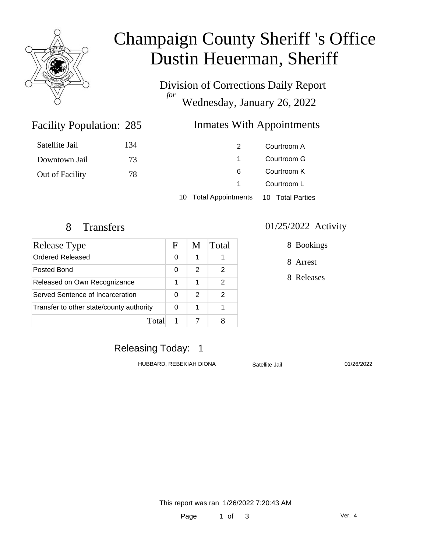

# Champaign County Sheriff 's Office Dustin Heuerman, Sheriff

Division of Corrections Daily Report *for* Wednesday, January 26, 2022

### Facility Population: 285

# Inmates With Appointments

|                 |     | $40.7$ total Approbation and $\alpha$ and $\pi$ and $\sigma$ and $\sigma$ |             |
|-----------------|-----|---------------------------------------------------------------------------|-------------|
|                 |     |                                                                           | Courtroom L |
| Out of Facility | 78  | 6                                                                         | Courtroom K |
| Downtown Jail   | 73  |                                                                           | Courtroom G |
| Satellite Jail  | 134 |                                                                           | Courtroom A |

10 Total Appointments 10 Total Parties

| Release Type                             | F | M | Total |
|------------------------------------------|---|---|-------|
| Ordered Released                         | 0 | 1 |       |
| Posted Bond                              | 0 | 2 | 2     |
| Released on Own Recognizance             | 1 | 1 | 2     |
| Served Sentence of Incarceration         | 0 | 2 | 2     |
| Transfer to other state/county authority |   | 1 |       |
| Total                                    |   |   |       |

#### 8 Transfers 01/25/2022 Activity

8 Bookings

8 Arrest

8 Releases

# Releasing Today: 1

HUBBARD, REBEKIAH DIONA Satellite Jail 01/26/2022

This report was ran 1/26/2022 7:20:43 AM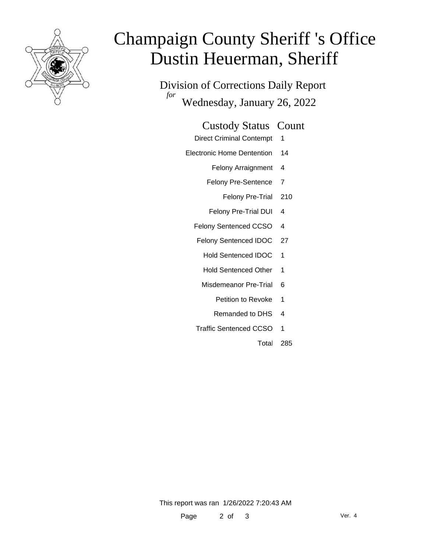

# Champaign County Sheriff 's Office Dustin Heuerman, Sheriff

Division of Corrections Daily Report *for* Wednesday, January 26, 2022

#### Custody Status Count

- Direct Criminal Contempt 1
- Electronic Home Dentention 14
	- Felony Arraignment 4
	- Felony Pre-Sentence 7
		- Felony Pre-Trial 210
	- Felony Pre-Trial DUI 4
	- Felony Sentenced CCSO 4
	- Felony Sentenced IDOC 27
		- Hold Sentenced IDOC 1
		- Hold Sentenced Other 1
		- Misdemeanor Pre-Trial 6
			- Petition to Revoke 1
			- Remanded to DHS 4
	- Traffic Sentenced CCSO 1
		- Total 285

This report was ran 1/26/2022 7:20:43 AM